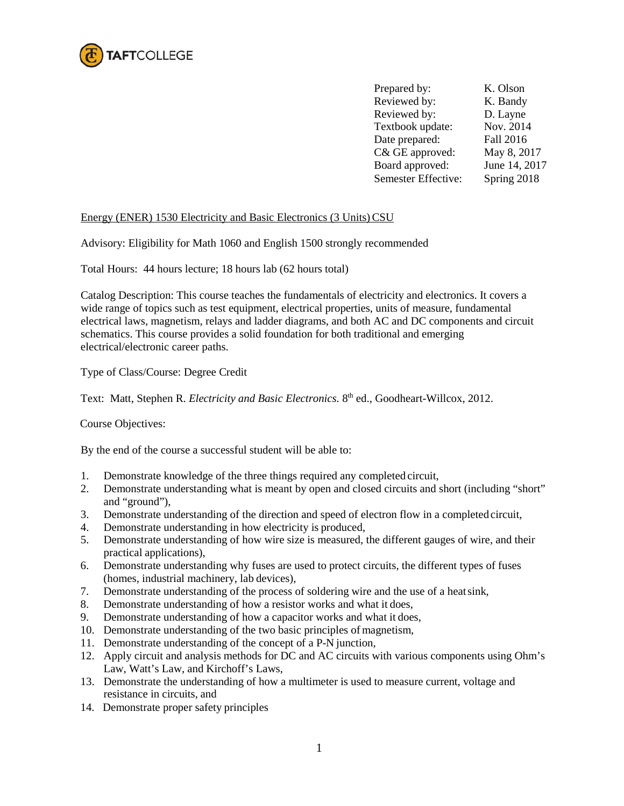

Prepared by: K. Olson Reviewed by: K. Bandy Reviewed by: D. Layne Textbook update: Nov. 2014 Date prepared: Fall 2016 C& GE approved: May 8, 2017 Board approved: June 14, 2017 Semester Effective: Spring 2018

# Energy (ENER) 1530 Electricity and Basic Electronics (3 Units)CSU

Advisory: Eligibility for Math 1060 and English 1500 strongly recommended

Total Hours: 44 hours lecture; 18 hours lab (62 hours total)

Catalog Description: This course teaches the fundamentals of electricity and electronics. It covers a wide range of topics such as test equipment, electrical properties, units of measure, fundamental electrical laws, magnetism, relays and ladder diagrams, and both AC and DC components and circuit schematics. This course provides a solid foundation for both traditional and emerging electrical/electronic career paths.

Type of Class/Course: Degree Credit

Text: Matt, Stephen R. *Electricity and Basic Electronics*. 8<sup>th</sup> ed., Goodheart-Willcox, 2012.

Course Objectives:

By the end of the course a successful student will be able to:

- 1. Demonstrate knowledge of the three things required any completed circuit,
- 2. Demonstrate understanding what is meant by open and closed circuits and short (including "short" and "ground"),
- 3. Demonstrate understanding of the direction and speed of electron flow in a completed circuit,
- 4. Demonstrate understanding in how electricity is produced,
- 5. Demonstrate understanding of how wire size is measured, the different gauges of wire, and their practical applications),
- 6. Demonstrate understanding why fuses are used to protect circuits, the different types of fuses (homes, industrial machinery, lab devices),
- 7. Demonstrate understanding of the process of soldering wire and the use of a heatsink,
- 8. Demonstrate understanding of how a resistor works and what it does,
- 9. Demonstrate understanding of how a capacitor works and what it does,
- 10. Demonstrate understanding of the two basic principles of magnetism,
- 11. Demonstrate understanding of the concept of a P-N junction,
- 12. Apply circuit and analysis methods for DC and AC circuits with various components using Ohm's Law, Watt's Law, and Kirchoff's Laws,
- 13. Demonstrate the understanding of how a multimeter is used to measure current, voltage and resistance in circuits, and
- 14. Demonstrate proper safety principles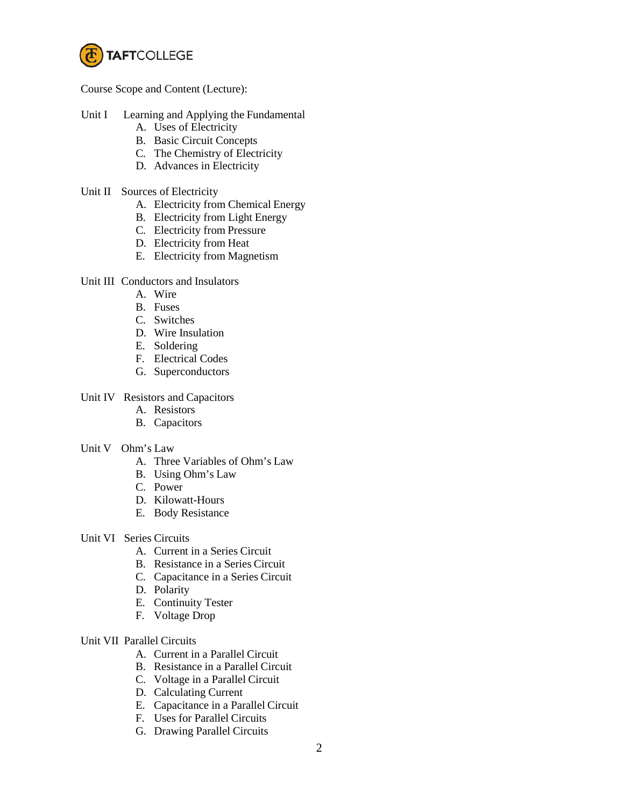

Course Scope and Content (Lecture):

- Unit I Learning and Applying the Fundamental
	- A. Uses of Electricity
	- B. Basic Circuit Concepts
	- C. The Chemistry of Electricity
	- D. Advances in Electricity
- Unit II Sources of Electricity
	- A. Electricity from Chemical Energy
	- B. Electricity from Light Energy
	- C. Electricity from Pressure
	- D. Electricity from Heat
	- E. Electricity from Magnetism

## Unit III Conductors and Insulators

- A. Wire
- B. Fuses
- C. Switches
- D. Wire Insulation
- E. Soldering
- F. Electrical Codes
- G. Superconductors

# Unit IV Resistors and Capacitors

- A. Resistors
- B. Capacitors

#### Unit V Ohm's Law

- A. Three Variables of Ohm's Law
- B. Using Ohm's Law
- C. Power
- D. Kilowatt-Hours
- E. Body Resistance
- Unit VI Series Circuits
	- A. Current in a Series Circuit
	- B. Resistance in a Series Circuit
	- C. Capacitance in a Series Circuit
	- D. Polarity
	- E. Continuity Tester
	- F. Voltage Drop

#### Unit VII Parallel Circuits

- A. Current in a Parallel Circuit
- B. Resistance in a Parallel Circuit
- C. Voltage in a Parallel Circuit
- D. Calculating Current
- E. Capacitance in a Parallel Circuit
- F. Uses for Parallel Circuits
- G. Drawing Parallel Circuits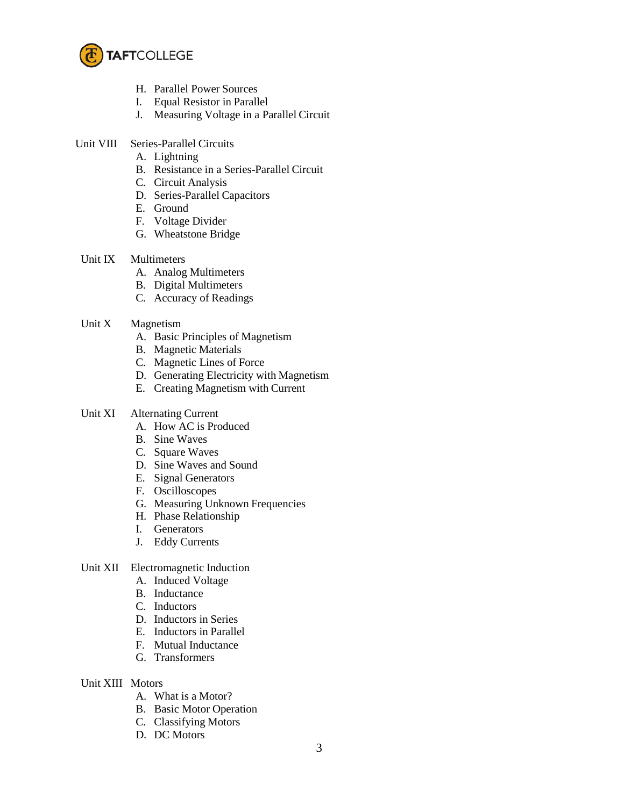

- H. Parallel Power Sources
- I. Equal Resistor in Parallel
- J. Measuring Voltage in a Parallel Circuit
- Unit VIII Series-Parallel Circuits
	- A. Lightning
	- B. Resistance in a Series-Parallel Circuit
	- C. Circuit Analysis
	- D. Series-Parallel Capacitors
	- E. Ground
	- F. Voltage Divider
	- G. Wheatstone Bridge
- Unit IX Multimeters
	- A. Analog Multimeters
	- B. Digital Multimeters
	- C. Accuracy of Readings
- Unit X Magnetism
	- A. Basic Principles of Magnetism
	- B. Magnetic Materials
	- C. Magnetic Lines of Force
	- D. Generating Electricity with Magnetism
	- E. Creating Magnetism with Current
- Unit XI Alternating Current
	- A. How AC is Produced
	- B. Sine Waves
	- C. Square Waves
	- D. Sine Waves and Sound
	- E. Signal Generators
	- F. Oscilloscopes
	- G. Measuring Unknown Frequencies
	- H. Phase Relationship
	- I. Generators
	- J. Eddy Currents
- Unit XII Electromagnetic Induction
	- A. Induced Voltage
	- B. Inductance
	- C. Inductors
	- D. Inductors in Series
	- E. Inductors in Parallel
	- F. Mutual Inductance
	- G. Transformers
- Unit XIII Motors
	- A. What is a Motor?
	- B. Basic Motor Operation
	- C. Classifying Motors
	- D. DC Motors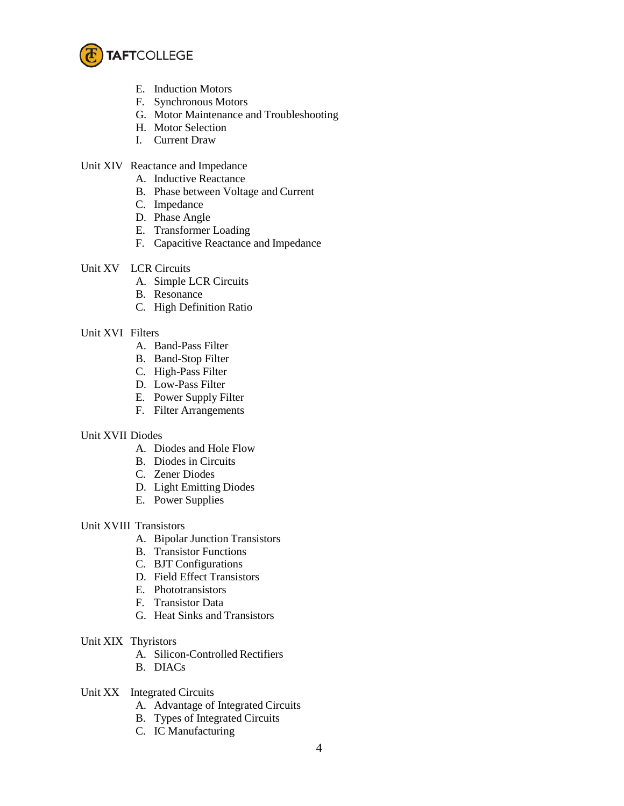

- E. Induction Motors
- F. Synchronous Motors
- G. Motor Maintenance and Troubleshooting
- H. Motor Selection
- I. Current Draw
- Unit XIV Reactance and Impedance
	- A. Inductive Reactance
	- B. Phase between Voltage and Current
	- C. Impedance
	- D. Phase Angle
	- E. Transformer Loading
	- F. Capacitive Reactance and Impedance
- Unit XV LCR Circuits
	- A. Simple LCR Circuits
	- B. Resonance
	- C. High Definition Ratio

## Unit XVI Filters

- A. Band-Pass Filter
- B. Band-Stop Filter
- C. High-Pass Filter
- D. Low-Pass Filter
- E. Power Supply Filter
- F. Filter Arrangements

## Unit XVII Diodes

- A. Diodes and Hole Flow
- B. Diodes in Circuits
- C. Zener Diodes
- D. Light Emitting Diodes
- E. Power Supplies

## Unit XVIII Transistors

- A. Bipolar Junction Transistors
- B. Transistor Functions
- C. BJT Configurations
- D. Field Effect Transistors
- E. Phototransistors
- F. Transistor Data
- G. Heat Sinks and Transistors
- Unit XIX Thyristors
	- A. Silicon-Controlled Rectifiers
	- B. DIACs
- Unit XX Integrated Circuits
	- A. Advantage of Integrated Circuits
	- B. Types of Integrated Circuits
	- C. IC Manufacturing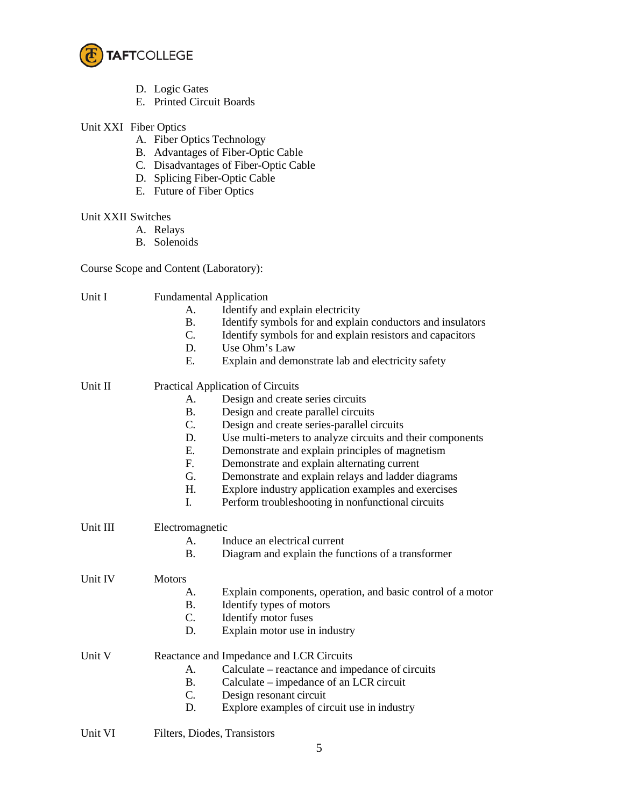

- D. Logic Gates
- E. Printed Circuit Boards
- Unit XXI Fiber Optics
	- A. Fiber Optics Technology
	- B. Advantages of Fiber-Optic Cable
	- C. Disadvantages of Fiber-Optic Cable
	- D. Splicing Fiber-Optic Cable
	- E. Future of Fiber Optics

## Unit XXII Switches

- A. Relays
- B. Solenoids

Course Scope and Content (Laboratory):

| Unit I   | A.<br><b>B.</b><br>C.<br>D.<br>E.        | <b>Fundamental Application</b><br>Identify and explain electricity<br>Identify symbols for and explain conductors and insulators<br>Identify symbols for and explain resistors and capacitors<br>Use Ohm's Law<br>Explain and demonstrate lab and electricity safety |  |
|----------|------------------------------------------|----------------------------------------------------------------------------------------------------------------------------------------------------------------------------------------------------------------------------------------------------------------------|--|
| Unit II  | <b>Practical Application of Circuits</b> |                                                                                                                                                                                                                                                                      |  |
|          | Α.                                       | Design and create series circuits                                                                                                                                                                                                                                    |  |
|          | <b>B.</b>                                | Design and create parallel circuits                                                                                                                                                                                                                                  |  |
|          | C.                                       | Design and create series-parallel circuits                                                                                                                                                                                                                           |  |
|          | D.                                       | Use multi-meters to analyze circuits and their components                                                                                                                                                                                                            |  |
|          | E.                                       | Demonstrate and explain principles of magnetism                                                                                                                                                                                                                      |  |
|          | F.                                       | Demonstrate and explain alternating current                                                                                                                                                                                                                          |  |
|          | G.                                       | Demonstrate and explain relays and ladder diagrams                                                                                                                                                                                                                   |  |
|          | H.                                       | Explore industry application examples and exercises                                                                                                                                                                                                                  |  |
|          | I.                                       | Perform troubleshooting in nonfunctional circuits                                                                                                                                                                                                                    |  |
| Unit III | Electromagnetic                          |                                                                                                                                                                                                                                                                      |  |
|          | A.                                       | Induce an electrical current                                                                                                                                                                                                                                         |  |
|          | <b>B.</b>                                | Diagram and explain the functions of a transformer                                                                                                                                                                                                                   |  |
| Unit IV  | <b>Motors</b>                            |                                                                                                                                                                                                                                                                      |  |
|          | А.                                       | Explain components, operation, and basic control of a motor                                                                                                                                                                                                          |  |
|          | <b>B.</b>                                | Identify types of motors                                                                                                                                                                                                                                             |  |
|          | C.                                       | Identify motor fuses                                                                                                                                                                                                                                                 |  |
|          | D.                                       | Explain motor use in industry                                                                                                                                                                                                                                        |  |
| Unit V   | Reactance and Impedance and LCR Circuits |                                                                                                                                                                                                                                                                      |  |
|          | А.                                       | Calculate – reactance and impedance of circuits                                                                                                                                                                                                                      |  |
|          | <b>B.</b>                                | Calculate – impedance of an LCR circuit                                                                                                                                                                                                                              |  |
|          | C.                                       | Design resonant circuit                                                                                                                                                                                                                                              |  |
|          | D.                                       | Explore examples of circuit use in industry                                                                                                                                                                                                                          |  |
|          |                                          |                                                                                                                                                                                                                                                                      |  |

Unit VI Filters, Diodes, Transistors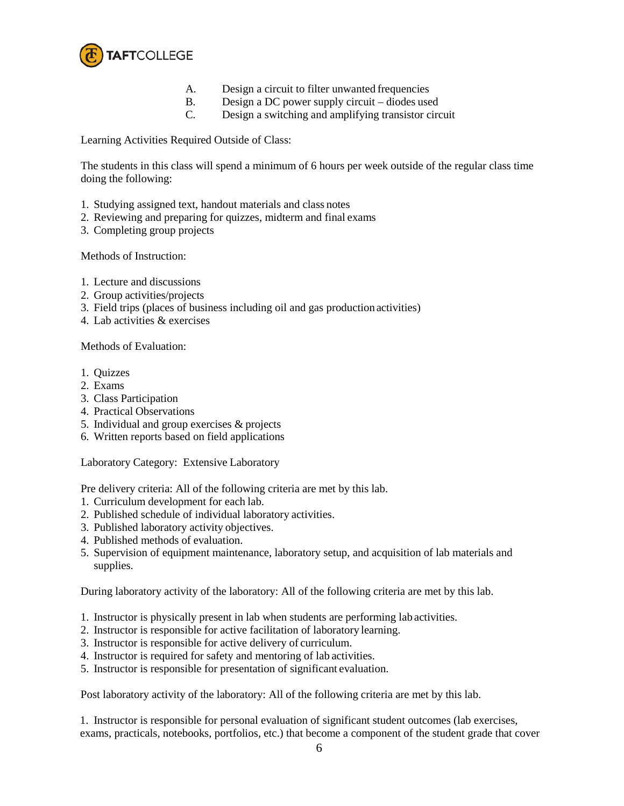

- A. Design a circuit to filter unwanted frequencies
- B. Design a DC power supply circuit diodes used
- C. Design a switching and amplifying transistor circuit

Learning Activities Required Outside of Class:

The students in this class will spend a minimum of 6 hours per week outside of the regular class time doing the following:

- 1. Studying assigned text, handout materials and class notes
- 2. Reviewing and preparing for quizzes, midterm and final exams
- 3. Completing group projects

Methods of Instruction:

- 1. Lecture and discussions
- 2. Group activities/projects
- 3. Field trips (places of business including oil and gas production activities)
- 4. Lab activities & exercises

Methods of Evaluation:

- 1. Quizzes
- 2. Exams
- 3. Class Participation
- 4. Practical Observations
- 5. Individual and group exercises & projects
- 6. Written reports based on field applications

Laboratory Category: Extensive Laboratory

Pre delivery criteria: All of the following criteria are met by this lab.

- 1. Curriculum development for each lab.
- 2. Published schedule of individual laboratory activities.
- 3. Published laboratory activity objectives.
- 4. Published methods of evaluation.
- 5. Supervision of equipment maintenance, laboratory setup, and acquisition of lab materials and supplies.

During laboratory activity of the laboratory: All of the following criteria are met by this lab.

- 1. Instructor is physically present in lab when students are performing lab activities.
- 2. Instructor is responsible for active facilitation of laboratory learning.
- 3. Instructor is responsible for active delivery of curriculum.
- 4. Instructor is required for safety and mentoring of lab activities.
- 5. Instructor is responsible for presentation of significant evaluation.

Post laboratory activity of the laboratory: All of the following criteria are met by this lab.

1. Instructor is responsible for personal evaluation of significant student outcomes (lab exercises, exams, practicals, notebooks, portfolios, etc.) that become a component of the student grade that cover